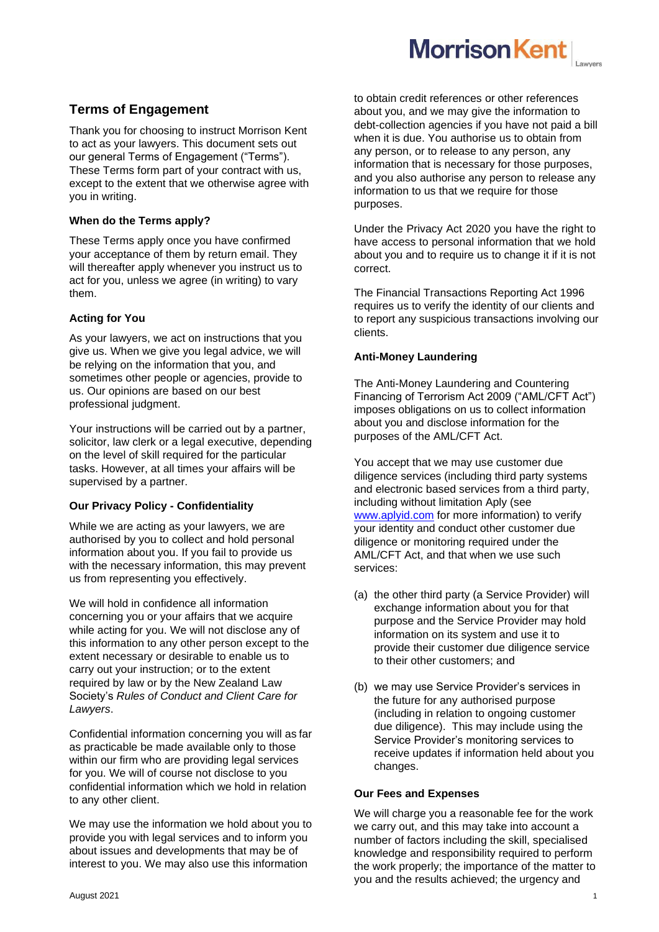# **Terms of Engagement**

Thank you for choosing to instruct Morrison Kent to act as your lawyers. This document sets out our general Terms of Engagement ("Terms"). These Terms form part of your contract with us, except to the extent that we otherwise agree with you in writing.

# **When do the Terms apply?**

These Terms apply once you have confirmed your acceptance of them by return email. They will thereafter apply whenever you instruct us to act for you, unless we agree (in writing) to vary them.

# **Acting for You**

As your lawyers, we act on instructions that you give us. When we give you legal advice, we will be relying on the information that you, and sometimes other people or agencies, provide to us. Our opinions are based on our best professional judgment.

Your instructions will be carried out by a partner, solicitor, law clerk or a legal executive, depending on the level of skill required for the particular tasks. However, at all times your affairs will be supervised by a partner.

# **Our Privacy Policy - Confidentiality**

While we are acting as your lawyers, we are authorised by you to collect and hold personal information about you. If you fail to provide us with the necessary information, this may prevent us from representing you effectively.

We will hold in confidence all information concerning you or your affairs that we acquire while acting for you. We will not disclose any of this information to any other person except to the extent necessary or desirable to enable us to carry out your instruction; or to the extent required by law or by the New Zealand Law Society's *Rules of Conduct and Client Care for Lawyers*.

Confidential information concerning you will as far as practicable be made available only to those within our firm who are providing legal services for you. We will of course not disclose to you confidential information which we hold in relation to any other client.

We may use the information we hold about you to provide you with legal services and to inform you about issues and developments that may be of interest to you. We may also use this information

to obtain credit references or other references about you, and we may give the information to debt-collection agencies if you have not paid a bill when it is due. You authorise us to obtain from any person, or to release to any person, any information that is necessary for those purposes, and you also authorise any person to release any information to us that we require for those purposes.

**Morrison Kent** 

Under the Privacy Act 2020 you have the right to have access to personal information that we hold about you and to require us to change it if it is not correct.

The Financial Transactions Reporting Act 1996 requires us to verify the identity of our clients and to report any suspicious transactions involving our clients.

# **Anti-Money Laundering**

The Anti-Money Laundering and Countering Financing of Terrorism Act 2009 ("AML/CFT Act") imposes obligations on us to collect information about you and disclose information for the purposes of the AML/CFT Act.

You accept that we may use customer due diligence services (including third party systems and electronic based services from a third party, including without limitation Aply (see [www.aplyid.com](http://www.aplyid.com/) for more information) to verify your identity and conduct other customer due diligence or monitoring required under the AML/CFT Act, and that when we use such services:

- (a) the other third party (a Service Provider) will exchange information about you for that purpose and the Service Provider may hold information on its system and use it to provide their customer due diligence service to their other customers; and
- (b) we may use Service Provider's services in the future for any authorised purpose (including in relation to ongoing customer due diligence). This may include using the Service Provider's monitoring services to receive updates if information held about you changes.

# **Our Fees and Expenses**

We will charge you a reasonable fee for the work we carry out, and this may take into account a number of factors including the skill, specialised knowledge and responsibility required to perform the work properly; the importance of the matter to you and the results achieved; the urgency and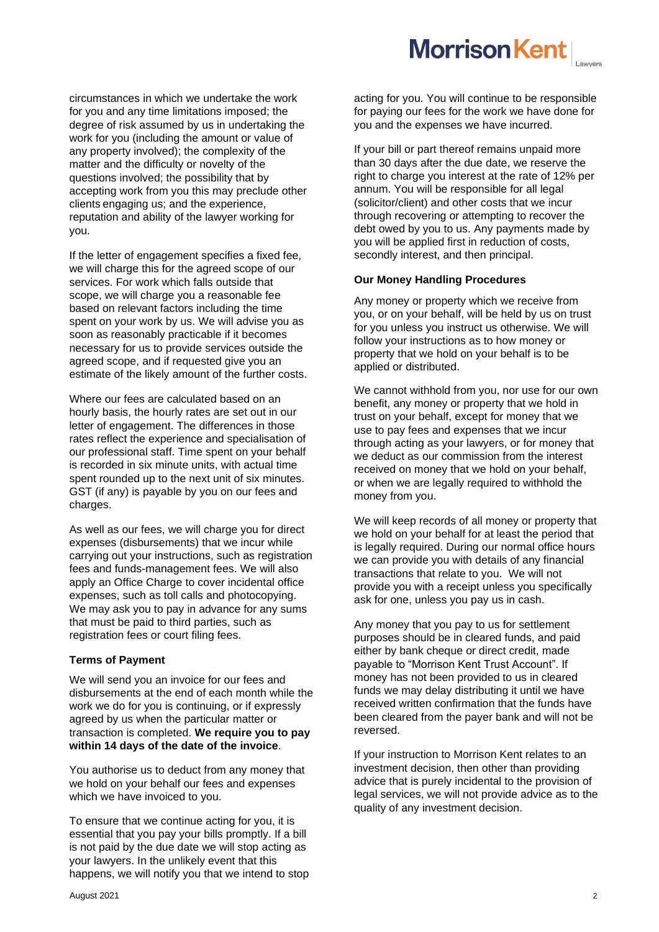

circumstances in which we undertake the work for you and any time limitations imposed; the degree of risk assumed by us in undertaking the work for you (including the amount or value of any property involved); the complexity of the matter and the difficulty or novelty of the questions involved; the possibility that by accepting work from you this may preclude other clients engaging us; and the experience, reputation and ability of the lawyer working for you.

If the letter of engagement specifies a fixed fee, we will charge this for the agreed scope of our services. For work which falls outside that scope, we will charge you a reasonable fee based on relevant factors including the time spent on your work by us. We will advise you as soon as reasonably practicable if it becomes necessary for us to provide services outside the agreed scope, and if requested give you an estimate of the likely amount of the further costs.

Where our fees are calculated based on an hourly basis, the hourly rates are set out in our letter of engagement. The differences in those rates reflect the experience and specialisation of our professional staff. Time spent on your behalf is recorded in six minute units, with actual time spent rounded up to the next unit of six minutes. GST (if any) is payable by you on our fees and charges.

As well as our fees, we will charge you for direct expenses (disbursements) that we incur while carrying out your instructions, such as registration fees and funds-management fees. We will also apply an Office Charge to cover incidental office expenses, such as toll calls and photocopying. We may ask you to pay in advance for any sums that must be paid to third parties, such as registration fees or court filing fees.

## **Terms of Payment**

We will send you an invoice for our fees and disbursements at the end of each month while the work we do for you is continuing, or if expressly agreed by us when the particular matter or transaction is completed. **We require you to pay within 14 days of the date of the invoice**.

You authorise us to deduct from any money that we hold on your behalf our fees and expenses which we have invoiced to you.

To ensure that we continue acting for you, it is essential that you pay your bills promptly. If a bill is not paid by the due date we will stop acting as your lawyers. In the unlikely event that this happens, we will notify you that we intend to stop acting for you. You will continue to be responsible for paying our fees for the work we have done for you and the expenses we have incurred.

If your bill or part thereof remains unpaid more than 30 days after the due date, we reserve the right to charge you interest at the rate of 12% per annum. You will be responsible for all legal (solicitor/client) and other costs that we incur through recovering or attempting to recover the debt owed by you to us. Any payments made by you will be applied first in reduction of costs, secondly interest, and then principal.

### **Our Money Handling Procedures**

Any money or property which we receive from you, or on your behalf, will be held by us on trust for you unless you instruct us otherwise. We will follow your instructions as to how money or property that we hold on your behalf is to be applied or distributed.

We cannot withhold from you, nor use for our own benefit, any money or property that we hold in trust on your behalf, except for money that we use to pay fees and expenses that we incur through acting as your lawyers, or for money that we deduct as our commission from the interest received on money that we hold on your behalf, or when we are legally required to withhold the money from you.

We will keep records of all money or property that we hold on your behalf for at least the period that is legally required. During our normal office hours we can provide you with details of any financial transactions that relate to you. We will not provide you with a receipt unless you specifically ask for one, unless you pay us in cash.

Any money that you pay to us for settlement purposes should be in cleared funds, and paid either by bank cheque or direct credit, made payable to "Morrison Kent Trust Account". If money has not been provided to us in cleared funds we may delay distributing it until we have received written confirmation that the funds have been cleared from the payer bank and will not be reversed.

If your instruction to Morrison Kent relates to an investment decision, then other than providing advice that is purely incidental to the provision of legal services, we will not provide advice as to the quality of any investment decision.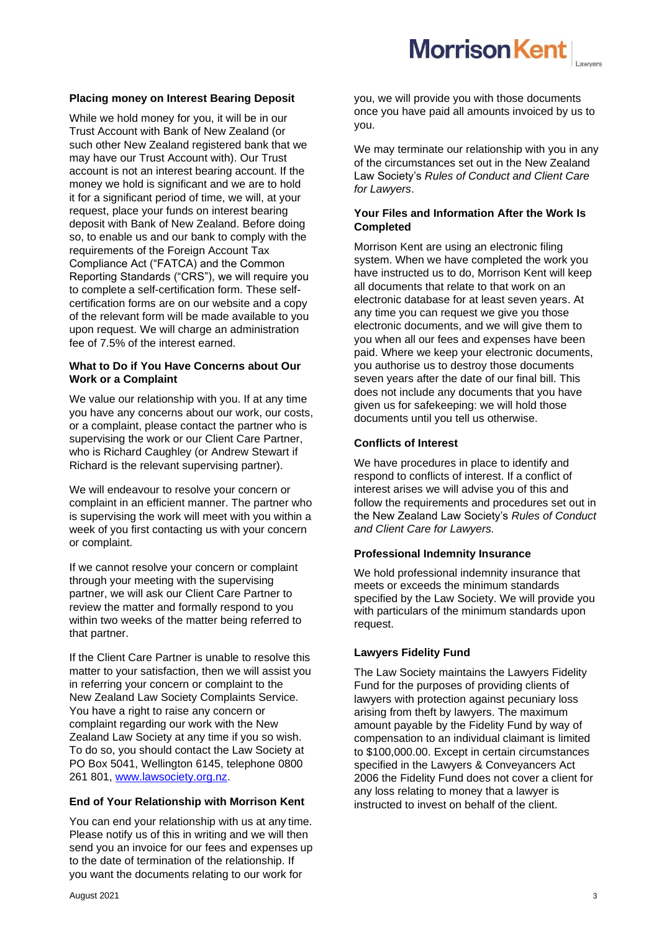

### **Placing money on Interest Bearing Deposit**

While we hold money for you, it will be in our Trust Account with Bank of New Zealand (or such other New Zealand registered bank that we may have our Trust Account with). Our Trust account is not an interest bearing account. If the money we hold is significant and we are to hold it for a significant period of time, we will, at your request, place your funds on interest bearing deposit with Bank of New Zealand. Before doing so, to enable us and our bank to comply with the requirements of the Foreign Account Tax Compliance Act ("FATCA) and the Common Reporting Standards ("CRS"), we will require you to complete a self-certification form. These selfcertification forms are on our website and a copy of the relevant form will be made available to you upon request. We will charge an administration fee of 7.5% of the interest earned.

# **What to Do if You Have Concerns about Our Work or a Complaint**

We value our relationship with you. If at any time you have any concerns about our work, our costs, or a complaint, please contact the partner who is supervising the work or our Client Care Partner, who is Richard Caughley (or Andrew Stewart if Richard is the relevant supervising partner).

We will endeavour to resolve your concern or complaint in an efficient manner. The partner who is supervising the work will meet with you within a week of you first contacting us with your concern or complaint.

If we cannot resolve your concern or complaint through your meeting with the supervising partner, we will ask our Client Care Partner to review the matter and formally respond to you within two weeks of the matter being referred to that partner.

If the Client Care Partner is unable to resolve this matter to your satisfaction, then we will assist you in referring your concern or complaint to the New Zealand Law Society Complaints Service. You have a right to raise any concern or complaint regarding our work with the New Zealand Law Society at any time if you so wish. To do so, you should contact the Law Society at PO Box 5041, Wellington 6145, telephone 0800 261 801, [www.lawsociety.org.nz.](http://www.lawsociety.org.nz/)

#### **End of Your Relationship with Morrison Kent**

You can end your relationship with us at any time. Please notify us of this in writing and we will then send you an invoice for our fees and expenses up to the date of termination of the relationship. If you want the documents relating to our work for

you, we will provide you with those documents once you have paid all amounts invoiced by us to you.

We may terminate our relationship with you in any of the circumstances set out in the New Zealand Law Society's *Rules of Conduct and Client Care for Lawyers*.

### **Your Files and Information After the Work Is Completed**

Morrison Kent are using an electronic filing system. When we have completed the work you have instructed us to do, Morrison Kent will keep all documents that relate to that work on an electronic database for at least seven years. At any time you can request we give you those electronic documents, and we will give them to you when all our fees and expenses have been paid. Where we keep your electronic documents, you authorise us to destroy those documents seven years after the date of our final bill. This does not include any documents that you have given us for safekeeping: we will hold those documents until you tell us otherwise.

# **Conflicts of Interest**

We have procedures in place to identify and respond to conflicts of interest. If a conflict of interest arises we will advise you of this and follow the requirements and procedures set out in the New Zealand Law Society's *Rules of Conduct and Client Care for Lawyers.*

#### **Professional Indemnity Insurance**

We hold professional indemnity insurance that meets or exceeds the minimum standards specified by the Law Society. We will provide you with particulars of the minimum standards upon request.

#### **Lawyers Fidelity Fund**

The Law Society maintains the Lawyers Fidelity Fund for the purposes of providing clients of lawyers with protection against pecuniary loss arising from theft by lawyers. The maximum amount payable by the Fidelity Fund by way of compensation to an individual claimant is limited to \$100,000.00. Except in certain circumstances specified in the Lawyers & Conveyancers Act 2006 the Fidelity Fund does not cover a client for any loss relating to money that a lawyer is instructed to invest on behalf of the client.